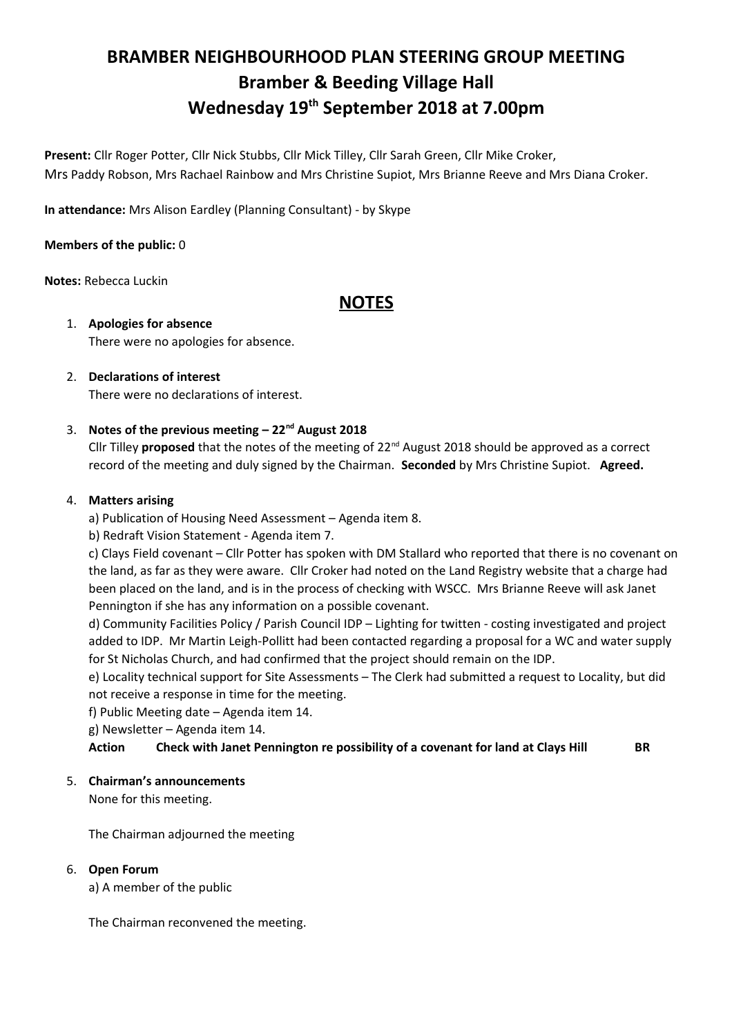# **BRAMBER NEIGHBOURHOOD PLAN STEERING GROUP MEETING Bramber & Beeding Village Hall Wednesday 19th September 2018 at 7.00pm**

**Present:** Cllr Roger Potter, Cllr Nick Stubbs, Cllr Mick Tilley, Cllr Sarah Green, Cllr Mike Croker, Mrs Paddy Robson, Mrs Rachael Rainbow and Mrs Christine Supiot, Mrs Brianne Reeve and Mrs Diana Croker.

**In attendance:** Mrs Alison Eardley (Planning Consultant) - by Skype

# **Members of the public:** 0

**Notes:** Rebecca Luckin

# **NOTES**

1. **Apologies for absence** There were no apologies for absence.

#### 2. **Declarations of interest** There were no declarations of interest.

3. **Notes of the previous meeting – 22nd August 2018**

Cllr Tilley **proposed** that the notes of the meeting of 22nd August 2018 should be approved as a correct record of the meeting and duly signed by the Chairman. **Seconded** by Mrs Christine Supiot. **Agreed.**

# 4. **Matters arising**

- a) Publication of Housing Need Assessment Agenda item 8.
- b) Redraft Vision Statement Agenda item 7.

c) Clays Field covenant – Cllr Potter has spoken with DM Stallard who reported that there is no covenant on the land, as far as they were aware. Cllr Croker had noted on the Land Registry website that a charge had been placed on the land, and is in the process of checking with WSCC. Mrs Brianne Reeve will ask Janet Pennington if she has any information on a possible covenant.

d) Community Facilities Policy / Parish Council IDP – Lighting for twitten - costing investigated and project added to IDP. Mr Martin Leigh-Pollitt had been contacted regarding a proposal for a WC and water supply for St Nicholas Church, and had confirmed that the project should remain on the IDP.

e) Locality technical support for Site Assessments – The Clerk had submitted a request to Locality, but did not receive a response in time for the meeting.

f) Public Meeting date – Agenda item 14.

g) Newsletter – Agenda item 14.

**Action Check with Janet Pennington re possibility of a covenant for land at Clays Hill BR**

# 5. **Chairman's announcements**

None for this meeting.

The Chairman adjourned the meeting

# 6. **Open Forum**

a) A member of the public

The Chairman reconvened the meeting.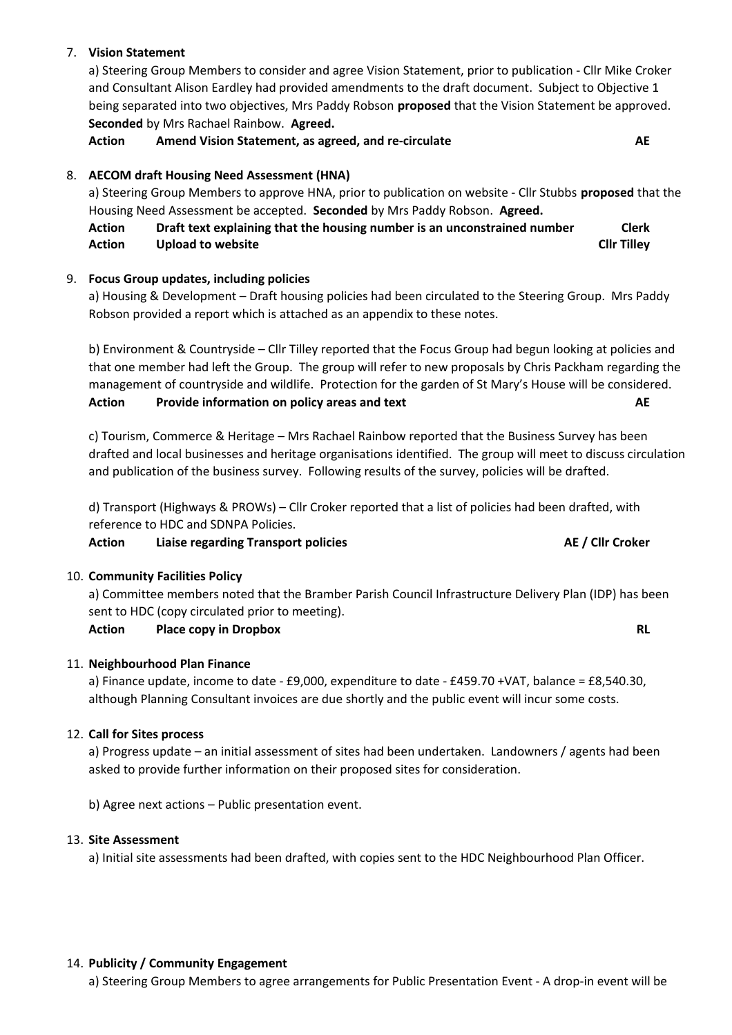# 7. **Vision Statement**

a) Steering Group Members to consider and agree Vision Statement, prior to publication - Cllr Mike Croker and Consultant Alison Eardley had provided amendments to the draft document. Subject to Objective 1 being separated into two objectives, Mrs Paddy Robson **proposed** that the Vision Statement be approved. **Seconded** by Mrs Rachael Rainbow. **Agreed.**

**Action Amend Vision Statement, as agreed, and re-circulate AE**

# 8. **AECOM draft Housing Need Assessment (HNA)**

a) Steering Group Members to approve HNA, prior to publication on website - Cllr Stubbs **proposed** that the Housing Need Assessment be accepted. **Seconded** by Mrs Paddy Robson. **Agreed.**

# **Action Draft text explaining that the housing number is an unconstrained number Clerk Action Upload to website Cllr Tilley**

# 9. **Focus Group updates, including policies**

a) Housing & Development – Draft housing policies had been circulated to the Steering Group. Mrs Paddy Robson provided a report which is attached as an appendix to these notes.

b) Environment & Countryside – Cllr Tilley reported that the Focus Group had begun looking at policies and that one member had left the Group. The group will refer to new proposals by Chris Packham regarding the management of countryside and wildlife. Protection for the garden of St Mary's House will be considered. **Action Provide information on policy areas and text AE**

c) Tourism, Commerce & Heritage – Mrs Rachael Rainbow reported that the Business Survey has been drafted and local businesses and heritage organisations identified. The group will meet to discuss circulation and publication of the business survey. Following results of the survey, policies will be drafted.

d) Transport (Highways & PROWs) – Cllr Croker reported that a list of policies had been drafted, with reference to HDC and SDNPA Policies.

# **Action Liaise regarding Transport policies AE / Cllr Croker**

# 10. **Community Facilities Policy**

a) Committee members noted that the Bramber Parish Council Infrastructure Delivery Plan (IDP) has been sent to HDC (copy circulated prior to meeting).

# **Action Place copy in Dropbox RL**

# 11. **Neighbourhood Plan Finance**

a) Finance update, income to date - £9,000, expenditure to date - £459.70 +VAT, balance = £8,540.30, although Planning Consultant invoices are due shortly and the public event will incur some costs.

# 12. **Call for Sites process**

a) Progress update – an initial assessment of sites had been undertaken. Landowners / agents had been asked to provide further information on their proposed sites for consideration.

b) Agree next actions – Public presentation event.

# 13. **Site Assessment**

a) Initial site assessments had been drafted, with copies sent to the HDC Neighbourhood Plan Officer.

# 14. **Publicity / Community Engagement**

a) Steering Group Members to agree arrangements for Public Presentation Event - A drop-in event will be